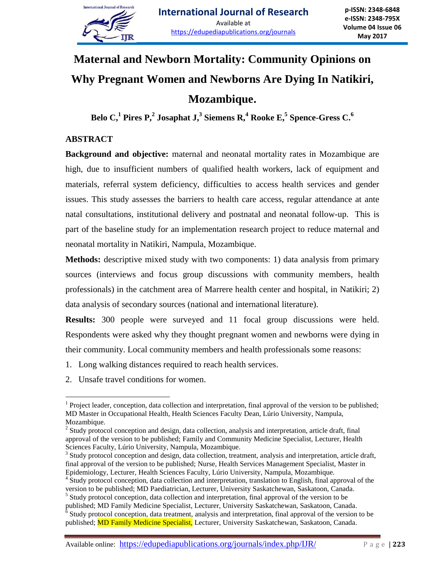

# **Maternal and Newborn Mortality: Community Opinions on Why Pregnant Women and Newborns Are Dying In Natikiri, Mozambique.**

**Belo C,<sup>1</sup> Pires P,<sup>2</sup> Josaphat J,<sup>3</sup> Siemens R, <sup>4</sup> Rooke E,<sup>5</sup> Spence-Gress C. 6**

# **ABSTRACT**

**Background and objective:** maternal and neonatal mortality rates in Mozambique are high, due to insufficient numbers of qualified health workers, lack of equipment and materials, referral system deficiency, difficulties to access health services and gender issues. This study assesses the barriers to health care access, regular attendance at ante natal consultations, institutional delivery and postnatal and neonatal follow-up. This is part of the baseline study for an implementation research project to reduce maternal and neonatal mortality in Natikiri, Nampula, Mozambique.

**Methods:** descriptive mixed study with two components: 1) data analysis from primary sources (interviews and focus group discussions with community members, health professionals) in the catchment area of Marrere health center and hospital, in Natikiri; 2) data analysis of secondary sources (national and international literature).

**Results:** 300 people were surveyed and 11 focal group discussions were held. Respondents were asked why they thought pregnant women and newborns were dying in their community. Local community members and health professionals some reasons:

- 1. Long walking distances required to reach health services.
- 2. Unsafe travel conditions for women.

Available online: https://edupediapublications.org/journals/index.php/IJR/ P a g e | **223**

 $\overline{a}$  $<sup>1</sup>$  Project leader, conception, data collection and interpretation, final approval of the version to be published;</sup> MD Master in Occupational Health, Health Sciences Faculty Dean, Lúrio University, Nampula, Mozambique.

<sup>&</sup>lt;sup>2</sup> Study protocol conception and design, data collection, analysis and interpretation, article draft, final approval of the version to be published; Family and Community Medicine Specialist, Lecturer, Health Sciences Faculty, Lúrio University, Nampula, Mozambique.

<sup>&</sup>lt;sup>3</sup> Study protocol conception and design, data collection, treatment, analysis and interpretation, article draft, final approval of the version to be published; Nurse, Health Services Management Specialist, Master in Epidemiology, Lecturer, Health Sciences Faculty, Lúrio University, Nampula, Mozambique.

<sup>&</sup>lt;sup>4</sup> Study protocol conception, data collection and interpretation, translation to English, final approval of the version to be published; MD Paediatrician, Lecturer, University Saskatchewan, Saskatoon, Canada.

<sup>&</sup>lt;sup>5</sup> Study protocol conception, data collection and interpretation, final approval of the version to be

published; MD Family Medicine Specialist, Lecturer, University Saskatchewan, Saskatoon, Canada. 6 Study protocol conception, data treatment, analysis and interpretation, final approval of the version to be published; MD Family Medicine Specialist, Lecturer, University Saskatchewan, Saskatoon, Canada.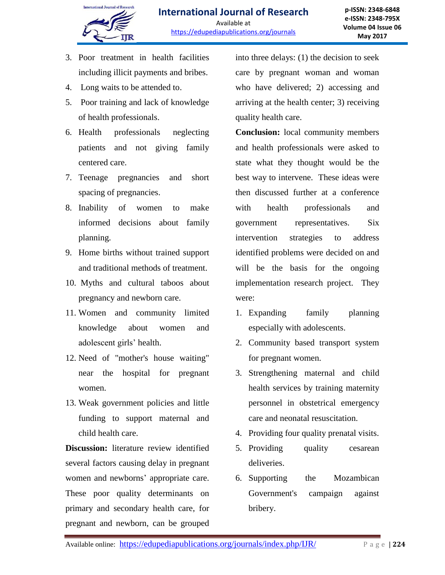

- 3. Poor treatment in health facilities including illicit payments and bribes.
- 4. Long waits to be attended to.
- 5. Poor training and lack of knowledge of health professionals.
- 6. Health professionals neglecting patients and not giving family centered care.
- 7. Teenage pregnancies and short spacing of pregnancies.
- 8. Inability of women to make informed decisions about family planning.
- 9. Home births without trained support and traditional methods of treatment.
- 10. Myths and cultural taboos about pregnancy and newborn care.
- 11. Women and community limited knowledge about women and adolescent girls' health.
- 12. Need of "mother's house waiting" near the hospital for pregnant women.
- 13. Weak government policies and little funding to support maternal and child health care.

**Discussion:** literature review identified several factors causing delay in pregnant women and newborns' appropriate care. These poor quality determinants on primary and secondary health care, for pregnant and newborn, can be grouped

into three delays: (1) the decision to seek care by pregnant woman and woman who have delivered; 2) accessing and arriving at the health center; 3) receiving quality health care.

**Conclusion:** local community members and health professionals were asked to state what they thought would be the best way to intervene. These ideas were then discussed further at a conference with health professionals and government representatives. Six intervention strategies to address identified problems were decided on and will be the basis for the ongoing implementation research project. They were:

- 1. Expanding family planning especially with adolescents.
- 2. Community based transport system for pregnant women.
- 3. Strengthening maternal and child health services by training maternity personnel in obstetrical emergency care and neonatal resuscitation.
- 4. Providing four quality prenatal visits.
- 5. Providing quality cesarean deliveries.
- 6. Supporting the Mozambican Government's campaign against bribery.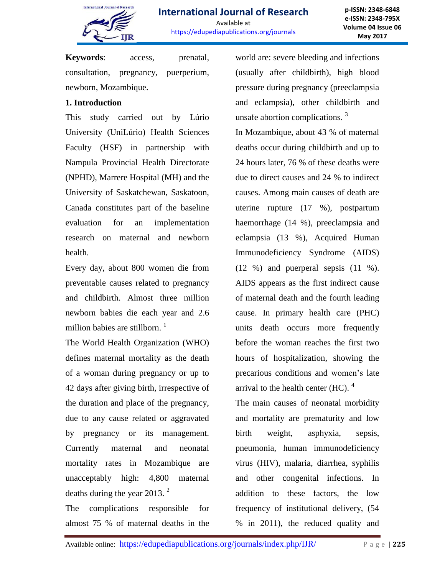

**p-ISSN: 2348-6848 e-ISSN: 2348-795X Volume 04 Issue 06 May 2017**

**Keywords**: access, prenatal, consultation, pregnancy, puerperium, newborn, Mozambique.

### **1. Introduction**

This study carried out by Lúrio University (UniLúrio) Health Sciences Faculty (HSF) in partnership with Nampula Provincial Health Directorate (NPHD), Marrere Hospital (MH) and the University of Saskatchewan, Saskatoon, Canada constitutes part of the baseline evaluation for an implementation research on maternal and newborn health.

Every day, about 800 women die from preventable causes related to pregnancy and childbirth. Almost three million newborn babies die each year and 2.6 million babies are stillborn.  $\frac{1}{1}$ 

The World Health Organization (WHO) defines maternal mortality as the death of a woman during pregnancy or up to 42 days after giving birth, irrespective of the duration and place of the pregnancy, due to any cause related or aggravated by pregnancy or its management. Currently maternal and neonatal mortality rates in Mozambique are unacceptably high: 4,800 maternal deaths during the year 2013. $^2$ 

The complications responsible for almost 75 % of maternal deaths in the world are: severe bleeding and infections (usually after childbirth), high blood pressure during pregnancy (preeclampsia and eclampsia), other childbirth and unsafe abortion complications.<sup>3</sup>

In Mozambique, about 43 % of maternal deaths occur during childbirth and up to 24 hours later, 76 % of these deaths were due to direct causes and 24 % to indirect causes. Among main causes of death are uterine rupture (17 %), postpartum haemorrhage (14 %), preeclampsia and eclampsia (13 %), Acquired Human Immunodeficiency Syndrome (AIDS) (12 %) and puerperal sepsis (11 %). AIDS appears as the first indirect cause of maternal death and the fourth leading cause. In primary health care (PHC) units death occurs more frequently before the woman reaches the first two hours of hospitalization, showing the precarious conditions and women's late arrival to the health center (HC).  $4$ 

The main causes of neonatal morbidity and mortality are prematurity and low birth weight, asphyxia, sepsis, pneumonia, human immunodeficiency virus (HIV), malaria, diarrhea, syphilis and other congenital infections. In addition to these factors, the low frequency of institutional delivery, (54 % in 2011), the reduced quality and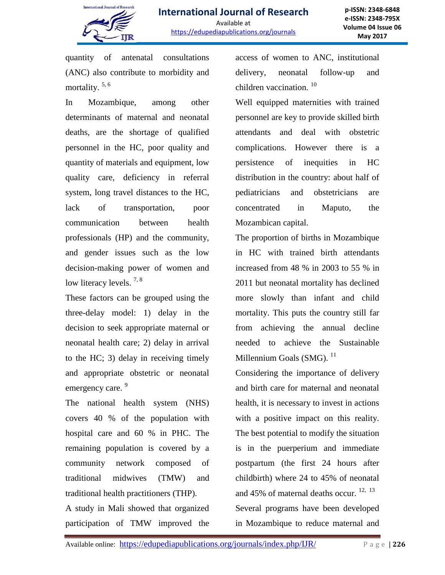

quantity of antenatal consultations (ANC) also contribute to morbidity and mortality.<sup>5, 6</sup>

In Mozambique, among other determinants of maternal and neonatal deaths, are the shortage of qualified personnel in the HC, poor quality and quantity of materials and equipment, low quality care, deficiency in referral system, long travel distances to the HC, lack of transportation, poor communication between health professionals (HP) and the community, and gender issues such as the low decision-making power of women and low literacy levels.<sup>7,8</sup>

These factors can be grouped using the three-delay model: 1) delay in the decision to seek appropriate maternal or neonatal health care; 2) delay in arrival to the HC; 3) delay in receiving timely and appropriate obstetric or neonatal emergency care.<sup>9</sup>

The national health system (NHS) covers 40 % of the population with hospital care and 60 % in PHC. The remaining population is covered by a community network composed of traditional midwives (TMW) and traditional health practitioners (THP).

A study in Mali showed that organized participation of TMW improved the

access of women to ANC, institutional delivery, neonatal follow-up and children vaccination.<sup>10</sup>

Well equipped maternities with trained personnel are key to provide skilled birth attendants and deal with obstetric complications. However there is a persistence of inequities in HC distribution in the country: about half of pediatricians and obstetricians are concentrated in Maputo, the Mozambican capital.

The proportion of births in Mozambique in HC with trained birth attendants increased from 48 % in 2003 to 55 % in 2011 but neonatal mortality has declined more slowly than infant and child mortality. This puts the country still far from achieving the annual decline needed to achieve the Sustainable Millennium Goals (SMG).  $^{11}$ 

Considering the importance of delivery and birth care for maternal and neonatal health, it is necessary to invest in actions with a positive impact on this reality. The best potential to modify the situation is in the puerperium and immediate postpartum (the first 24 hours after childbirth) where 24 to 45% of neonatal and 45% of maternal deaths occur.  $12, 13$ Several programs have been developed in Mozambique to reduce maternal and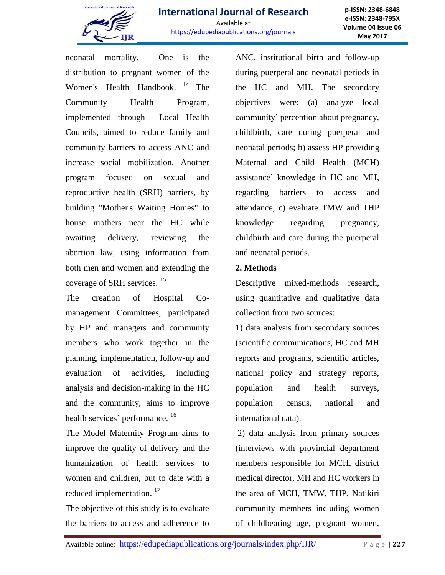

**p-ISSN: 2348-6848 e-ISSN: 2348-795X Volume 04 Issue 06 May 2017**

neonatal mortality. One is the distribution to pregnant women of the Women's Health Handbook. <sup>14</sup> The Community Health Program, implemented through Local Health Councils, aimed to reduce family and community barriers to access ANC and increase social mobilization. Another program focused on sexual and reproductive health (SRH) barriers, by building "Mother's Waiting Homes" to house mothers near the HC while awaiting delivery, reviewing the abortion law, using information from both men and women and extending the coverage of SRH services.<sup>15</sup>

The creation of Hospital Comanagement Committees, participated by HP and managers and community members who work together in the planning, implementation, follow-up and evaluation of activities, including analysis and decision-making in the HC and the community, aims to improve health services' performance. <sup>16</sup>

The Model Maternity Program aims to improve the quality of delivery and the humanization of health services to women and children, but to date with a reduced implementation.<sup>17</sup>

The objective of this study is to evaluate the barriers to access and adherence to ANC, institutional birth and follow-up during puerperal and neonatal periods in the HC and MH. The secondary objectives were: (a) analyze local community' perception about pregnancy, childbirth, care during puerperal and neonatal periods; b) assess HP providing Maternal and Child Health (MCH) assistance' knowledge in HC and MH, regarding barriers to access and attendance; c) evaluate TMW and THP knowledge regarding pregnancy, childbirth and care during the puerperal and neonatal periods.

## **2. Methods**

Descriptive mixed-methods research, using quantitative and qualitative data collection from two sources:

1) data analysis from secondary sources (scientific communications, HC and MH reports and programs, scientific articles, national policy and strategy reports, population and health surveys, population census, national and international data).

2) data analysis from primary sources (interviews with provincial department members responsible for MCH, district medical director, MH and HC workers in the area of MCH, TMW, THP, Natikiri community members including women of childbearing age, pregnant women,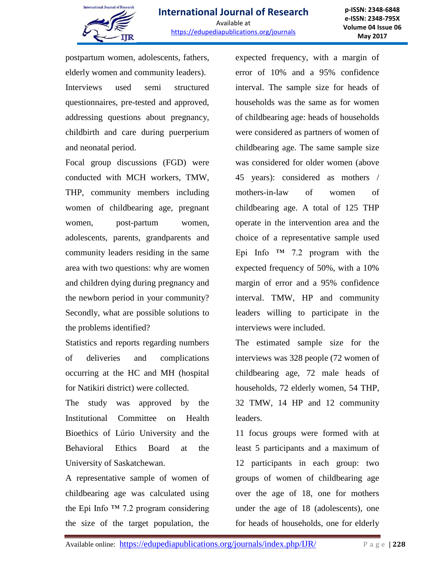

postpartum women, adolescents, fathers, elderly women and community leaders). Interviews used semi structured questionnaires, pre-tested and approved, addressing questions about pregnancy, childbirth and care during puerperium and neonatal period.

Focal group discussions (FGD) were conducted with MCH workers, TMW, THP, community members including women of childbearing age, pregnant women, post-partum women, adolescents, parents, grandparents and community leaders residing in the same area with two questions: why are women and children dying during pregnancy and the newborn period in your community? Secondly, what are possible solutions to the problems identified?

Statistics and reports regarding numbers of deliveries and complications occurring at the HC and MH (hospital for Natikiri district) were collected.

The study was approved by the Institutional Committee on Health Bioethics of Lúrio University and the Behavioral Ethics Board at the University of Saskatchewan.

A representative sample of women of childbearing age was calculated using the Epi Info  $TM$  7.2 program considering the size of the target population, the

expected frequency, with a margin of error of 10% and a 95% confidence interval. The sample size for heads of households was the same as for women of childbearing age: heads of households were considered as partners of women of childbearing age. The same sample size was considered for older women (above 45 years): considered as mothers / mothers-in-law of women of childbearing age. A total of 125 THP operate in the intervention area and the choice of a representative sample used Epi Info  $TM$  7.2 program with the expected frequency of 50%, with a 10% margin of error and a 95% confidence interval. TMW, HP and community leaders willing to participate in the interviews were included.

The estimated sample size for the interviews was 328 people (72 women of childbearing age, 72 male heads of households, 72 elderly women, 54 THP, 32 TMW, 14 HP and 12 community leaders.

11 focus groups were formed with at least 5 participants and a maximum of 12 participants in each group: two groups of women of childbearing age over the age of 18, one for mothers under the age of 18 (adolescents), one for heads of households, one for elderly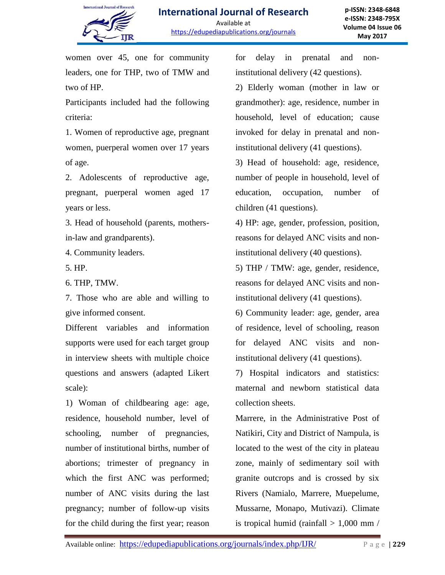

women over 45, one for community leaders, one for THP, two of TMW and two of HP.

Participants included had the following criteria:

1. Women of reproductive age, pregnant women, puerperal women over 17 years of age.

2. Adolescents of reproductive age, pregnant, puerperal women aged 17 years or less.

3. Head of household (parents, mothersin-law and grandparents).

4. Community leaders.

5. HP.

6. THP, TMW.

7. Those who are able and willing to give informed consent.

Different variables and information supports were used for each target group in interview sheets with multiple choice questions and answers (adapted Likert scale):

1) Woman of childbearing age: age, residence, household number, level of schooling, number of pregnancies, number of institutional births, number of abortions; trimester of pregnancy in which the first ANC was performed; number of ANC visits during the last pregnancy; number of follow-up visits for the child during the first year; reason for delay in prenatal and noninstitutional delivery (42 questions).

2) Elderly woman (mother in law or grandmother): age, residence, number in household, level of education; cause invoked for delay in prenatal and noninstitutional delivery (41 questions).

3) Head of household: age, residence, number of people in household, level of education, occupation, number of children (41 questions).

4) HP: age, gender, profession, position, reasons for delayed ANC visits and noninstitutional delivery (40 questions).

5) THP / TMW: age, gender, residence, reasons for delayed ANC visits and noninstitutional delivery (41 questions).

6) Community leader: age, gender, area of residence, level of schooling, reason for delayed ANC visits and noninstitutional delivery (41 questions).

7) Hospital indicators and statistics: maternal and newborn statistical data collection sheets.

Marrere, in the Administrative Post of Natikiri, City and District of Nampula, is located to the west of the city in plateau zone, mainly of sedimentary soil with granite outcrops and is crossed by six Rivers (Namialo, Marrere, Muepelume, Mussarne, Monapo, Mutivazi). Climate is tropical humid (rainfall  $> 1,000$  mm /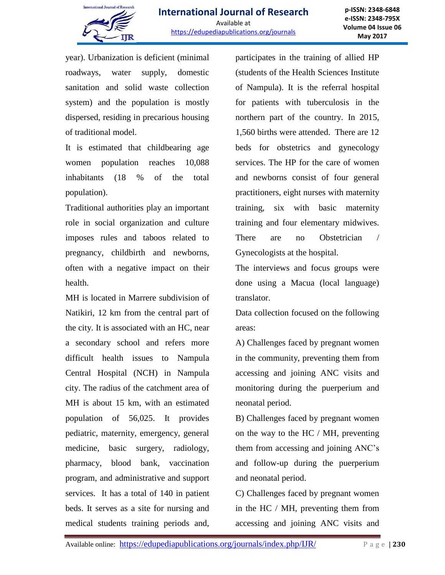

**p-ISSN: 2348-6848 e-ISSN: 2348-795X Volume 04 Issue 06 May 2017**

year). Urbanization is deficient (minimal roadways, water supply, domestic sanitation and solid waste collection system) and the population is mostly dispersed, residing in precarious housing of traditional model.

It is estimated that childbearing age women population reaches 10,088 inhabitants (18 % of the total population).

Traditional authorities play an important role in social organization and culture imposes rules and taboos related to pregnancy, childbirth and newborns, often with a negative impact on their health.

MH is located in Marrere subdivision of Natikiri, 12 km from the central part of the city. It is associated with an HC, near a secondary school and refers more difficult health issues to Nampula Central Hospital (NCH) in Nampula city. The radius of the catchment area of MH is about 15 km, with an estimated population of 56,025. It provides pediatric, maternity, emergency, general medicine, basic surgery, radiology, pharmacy, blood bank, vaccination program, and administrative and support services. It has a total of 140 in patient beds. It serves as a site for nursing and medical students training periods and,

participates in the training of allied HP (students of the Health Sciences Institute of Nampula). It is the referral hospital for patients with tuberculosis in the northern part of the country. In 2015, 1,560 births were attended. There are 12 beds for obstetrics and gynecology services. The HP for the care of women and newborns consist of four general practitioners, eight nurses with maternity training, six with basic maternity training and four elementary midwives. There are no Obstetrician / Gynecologists at the hospital.

The interviews and focus groups were done using a Macua (local language) translator.

Data collection focused on the following areas:

A) Challenges faced by pregnant women in the community, preventing them from accessing and joining ANC visits and monitoring during the puerperium and neonatal period.

B) Challenges faced by pregnant women on the way to the HC / MH, preventing them from accessing and joining ANC's and follow-up during the puerperium and neonatal period.

C) Challenges faced by pregnant women in the HC / MH, preventing them from accessing and joining ANC visits and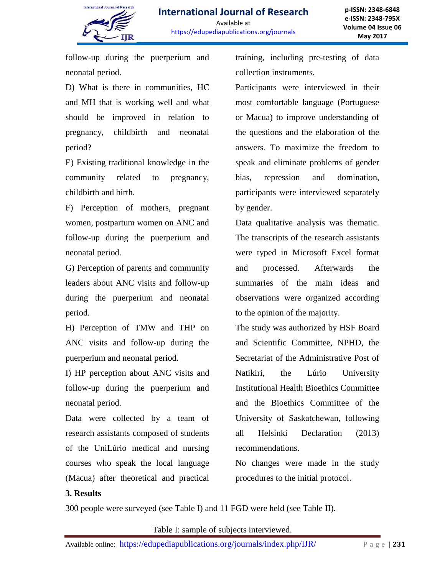

follow-up during the puerperium and neonatal period.

D) What is there in communities, HC and MH that is working well and what should be improved in relation to pregnancy, childbirth and neonatal period?

E) Existing traditional knowledge in the community related to pregnancy, childbirth and birth.

F) Perception of mothers, pregnant women, postpartum women on ANC and follow-up during the puerperium and neonatal period.

G) Perception of parents and community leaders about ANC visits and follow-up during the puerperium and neonatal period.

H) Perception of TMW and THP on ANC visits and follow-up during the puerperium and neonatal period.

I) HP perception about ANC visits and follow-up during the puerperium and neonatal period.

Data were collected by a team of research assistants composed of students of the UniLúrio medical and nursing courses who speak the local language (Macua) after theoretical and practical training, including pre-testing of data collection instruments.

Participants were interviewed in their most comfortable language (Portuguese or Macua) to improve understanding of the questions and the elaboration of the answers. To maximize the freedom to speak and eliminate problems of gender bias, repression and domination, participants were interviewed separately by gender.

Data qualitative analysis was thematic. The transcripts of the research assistants were typed in Microsoft Excel format and processed. Afterwards the summaries of the main ideas and observations were organized according to the opinion of the majority.

The study was authorized by HSF Board and Scientific Committee, NPHD, the Secretariat of the Administrative Post of Natikiri, the Lúrio University Institutional Health Bioethics Committee and the Bioethics Committee of the University of Saskatchewan, following all Helsinki Declaration (2013) recommendations.

No changes were made in the study procedures to the initial protocol.

### **3. Results**

300 people were surveyed (see Table I) and 11 FGD were held (see Table II).

Table I: sample of subjects interviewed.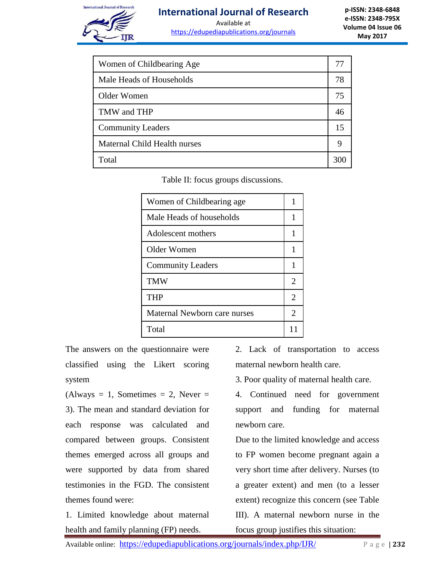

# **International Journal of Research**

Available at https://edupediapublications.org/journals

**p-ISSN: 2348-6848 e-ISSN: 2348-795X Volume 04 Issue 06 May 2017**

| Women of Childbearing Age    |     |
|------------------------------|-----|
| Male Heads of Households     | 78  |
| Older Women                  | 75  |
| TMW and THP                  | 46  |
| <b>Community Leaders</b>     | 15  |
| Maternal Child Health nurses | 9   |
| Total                        | 300 |

Table II: focus groups discussions.

| Women of Childbearing age    | 1  |
|------------------------------|----|
| Male Heads of households     | 1  |
| Adolescent mothers           | 1  |
| Older Women                  | 1  |
| <b>Community Leaders</b>     |    |
| <b>TMW</b>                   | 2  |
| THP                          | 2  |
| Maternal Newborn care nurses | 2  |
| Total                        | 11 |

The answers on the questionnaire were classified using the Likert scoring system

 $(A$ lways = 1, Sometimes = 2, Never = 3). The mean and standard deviation for each response was calculated and compared between groups. Consistent themes emerged across all groups and were supported by data from shared testimonies in the FGD. The consistent themes found were:

1. Limited knowledge about maternal health and family planning (FP) needs.

2. Lack of transportation to access maternal newborn health care.

3. Poor quality of maternal health care.

4. Continued need for government support and funding for maternal newborn care.

Due to the limited knowledge and access to FP women become pregnant again a very short time after delivery. Nurses (to a greater extent) and men (to a lesser extent) recognize this concern (see Table III). A maternal newborn nurse in the focus group justifies this situation: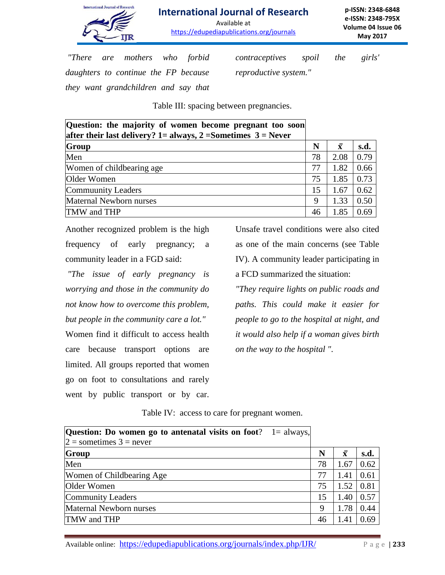

# **International Journal of Research**

Available at https://edupediapublications.org/journals

**p-ISSN: 2348-6848 e-ISSN: 2348-795X Volume 04 Issue 06 May 2017**

*"There are mothers who forbid daughters to continue the FP because they want grandchildren and say that*  *contraceptives spoil the girls' reproductive system."*

Table III: spacing between pregnancies.

| Question: the majority of women become pregnant too soon<br>after their last delivery? 1= always, 2 = Sometimes $3$ = Never |    |                    |      |
|-----------------------------------------------------------------------------------------------------------------------------|----|--------------------|------|
| Group                                                                                                                       | N  | $\bar{\mathbf{x}}$ | s.d. |
| Men                                                                                                                         | 78 | 2.08               | 0.79 |
| Women of childbearing age                                                                                                   | 77 | 1.82               | 0.66 |
| Older Women                                                                                                                 | 75 | 1.85               | 0.73 |
| Commuunity Leaders                                                                                                          | 15 | 1.67               | 0.62 |
| Maternal Newborn nurses                                                                                                     | 9  | 1.33               | 0.50 |
| TMW and THP                                                                                                                 | 46 | 1.85               | 0.69 |

Another recognized problem is the high frequency of early pregnancy; a community leader in a FGD said:

*"The issue of early pregnancy is worrying and those in the community do not know how to overcome this problem, but people in the community care a lot."* Women find it difficult to access health care because transport options are limited. All groups reported that women go on foot to consultations and rarely went by public transport or by car.

Unsafe travel conditions were also cited as one of the main concerns (see Table IV). A community leader participating in a FCD summarized the situation:

*"They require lights on public roads and paths. This could make it easier for people to go to the hospital at night, and it would also help if a woman gives birth on the way to the hospital ".*

Table IV: access to care for pregnant women.

| <b>Question:</b> Do women go to antenatal visits on foot? $1 =$ always, |    |                    |      |
|-------------------------------------------------------------------------|----|--------------------|------|
| $2 =$ sometimes $3 =$ never                                             |    |                    |      |
| Group                                                                   | N  | $\bar{\mathbf{x}}$ | s.d. |
| Men                                                                     | 78 | 1.67               | 0.62 |
| Women of Childbearing Age                                               | 77 | 1.41               | 0.61 |
| Older Women                                                             | 75 | 1.52               | 0.81 |
| <b>Community Leaders</b>                                                | 15 | 1.40               | 0.57 |
| Maternal Newborn nurses                                                 | 9  | 1.78               | 0.44 |
| TMW and THP                                                             | 46 | 1.41               | 0.69 |

Available online: https://edupediapublications.org/journals/index.php/IJR/ P a g e | 233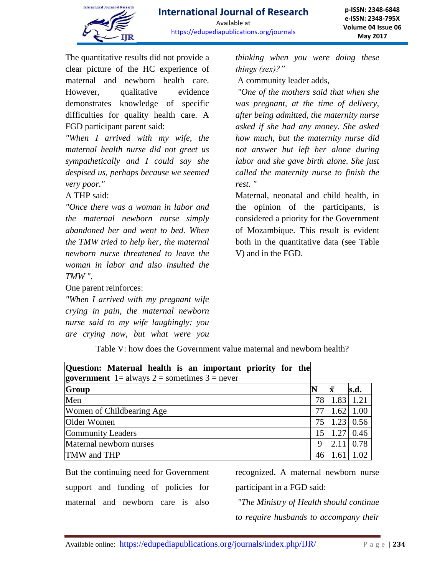

The quantitative results did not provide a clear picture of the HC experience of maternal and newborn health care. However, qualitative evidence demonstrates knowledge of specific difficulties for quality health care. A FGD participant parent said:

*"When I arrived with my wife, the maternal health nurse did not greet us sympathetically and I could say she despised us, perhaps because we seemed very poor."* 

## A THP said:

*"Once there was a woman in labor and the maternal newborn nurse simply abandoned her and went to bed. When the TMW tried to help her, the maternal newborn nurse threatened to leave the woman in labor and also insulted the TMW ".* 

One parent reinforces:

*"When I arrived with my pregnant wife crying in pain, the maternal newborn nurse said to my wife laughingly: you are crying now, but what were you*  *thinking when you were doing these things (sex)?"*

A community leader adds,

*"One of the mothers said that when she was pregnant, at the time of delivery, after being admitted, the maternity nurse asked if she had any money. She asked how much, but the maternity nurse did not answer but left her alone during labor and she gave birth alone. She just called the maternity nurse to finish the rest. "*

Maternal, neonatal and child health, in the opinion of the participants, is considered a priority for the Government of Mozambique. This result is evident both in the quantitative data (see Table V) and in the FGD.

Table V: how does the Government value maternal and newborn health?

| Question: Maternal health is an important priority for the<br><b>government</b> $1 =$ always $2 =$ sometimes $3 =$ never |    |      |       |
|--------------------------------------------------------------------------------------------------------------------------|----|------|-------|
|                                                                                                                          |    |      |       |
| <b>Group</b>                                                                                                             |    | Ιx   | s.d.  |
| Men                                                                                                                      | 78 | 1.83 | 1.21  |
| Women of Childbearing Age                                                                                                | 77 | 1.62 | 1.00  |
| Older Women                                                                                                              | 75 | 1.23 | 0.56  |
| <b>Community Leaders</b>                                                                                                 | 15 | 1.27 | 0.46  |
| Maternal newborn nurses                                                                                                  | 9  | 2.11 | 0.78  |
| TMW and THP                                                                                                              | 46 |      | 1.02. |

But the continuing need for Government support and funding of policies for maternal and newborn care is also

recognized. A maternal newborn nurse participant in a FGD said:

*"The Ministry of Health should continue to require husbands to accompany their*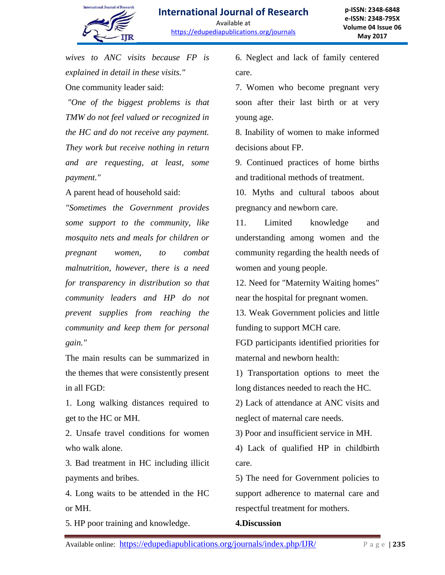

*wives to ANC visits because FP is explained in detail in these visits."*  One community leader said:

*"One of the biggest problems is that TMW do not feel valued or recognized in the HC and do not receive any payment. They work but receive nothing in return and are requesting, at least, some payment."* 

A parent head of household said:

*"Sometimes the Government provides some support to the community, like mosquito nets and meals for children or pregnant women, to combat malnutrition, however, there is a need for transparency in distribution so that community leaders and HP do not prevent supplies from reaching the community and keep them for personal gain."*

The main results can be summarized in the themes that were consistently present in all FGD:

1. Long walking distances required to get to the HC or MH.

2. Unsafe travel conditions for women who walk alone.

3. Bad treatment in HC including illicit payments and bribes.

4. Long waits to be attended in the HC or MH.

5. HP poor training and knowledge.

6. Neglect and lack of family centered care.

7. Women who become pregnant very soon after their last birth or at very young age.

8. Inability of women to make informed decisions about FP.

9. Continued practices of home births and traditional methods of treatment.

10. Myths and cultural taboos about pregnancy and newborn care.

11. Limited knowledge and understanding among women and the community regarding the health needs of women and young people.

12. Need for "Maternity Waiting homes" near the hospital for pregnant women.

13. Weak Government policies and little funding to support MCH care.

FGD participants identified priorities for maternal and newborn health:

1) Transportation options to meet the long distances needed to reach the HC.

2) Lack of attendance at ANC visits and neglect of maternal care needs.

3) Poor and insufficient service in MH.

4) Lack of qualified HP in childbirth care.

5) The need for Government policies to support adherence to maternal care and respectful treatment for mothers.

### **4.Discussion**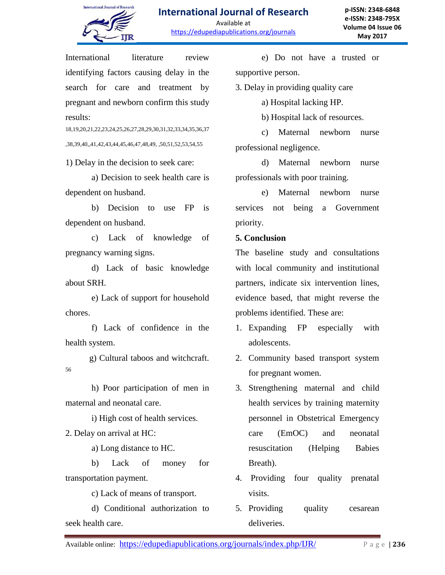

International literature review identifying factors causing delay in the search for care and treatment by pregnant and newborn confirm this study results:

18,19,20,21,22,23,24,25,26,27,28,29,30,31,32,33,34,35,36,37 ,38,39,40,,41,42,43,44,45,46,47,48,49, ,50,51,52,53,54,55

1) Delay in the decision to seek care:

a) Decision to seek health care is dependent on husband.

b) Decision to use FP is dependent on husband.

c) Lack of knowledge of pregnancy warning signs.

d) Lack of basic knowledge about SRH.

e) Lack of support for household chores.

f) Lack of confidence in the health system.

 g) Cultural taboos and witchcraft. 56

h) Poor participation of men in maternal and neonatal care.

i) High cost of health services.

2. Delay on arrival at HC:

a) Long distance to HC.

b) Lack of money for transportation payment.

c) Lack of means of transport.

d) Conditional authorization to seek health care.

e) Do not have a trusted or supportive person.

3. Delay in providing quality care

a) Hospital lacking HP.

b) Hospital lack of resources.

c) Maternal newborn nurse professional negligence.

d) Maternal newborn nurse professionals with poor training.

e) Maternal newborn nurse services not being a Government priority.

## **5. Conclusion**

The baseline study and consultations with local community and institutional partners, indicate six intervention lines, evidence based, that might reverse the problems identified. These are:

- 1. Expanding FP especially with adolescents.
- 2. Community based transport system for pregnant women.
- 3. Strengthening maternal and child health services by training maternity personnel in Obstetrical Emergency care (EmOC) and neonatal resuscitation (Helping Babies Breath).
- 4. Providing four quality prenatal visits.
- 5. Providing quality cesarean deliveries.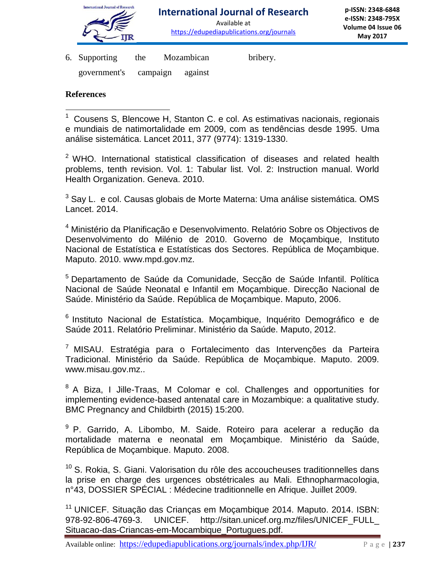

Available at https://edupediapublications.org/journals

6. Supporting the Mozambican bribery.

government's campaign against

## **References**

 $2$  WHO. International statistical classification of diseases and related health problems, tenth revision. Vol. 1: Tabular list. Vol. 2: Instruction manual. World Health Organization. Geneva. 2010.

 $3$  Say L. e col. Causas globais de Morte Materna: Uma análise sistemática. OMS Lancet. 2014.

<sup>4</sup> Ministério da Planificação e Desenvolvimento. Relatório Sobre os Objectivos de Desenvolvimento do Milénio de 2010. Governo de Moçambique, Instituto Nacional de Estatística e Estatísticas dos Sectores. República de Moçambique. Maputo. 2010. www.mpd.gov.mz.

<sup>5</sup> Departamento de Saúde da Comunidade, Secção de Saúde Infantil. Política Nacional de Saúde Neonatal e Infantil em Moçambique. Direcção Nacional de Saúde. Ministério da Saúde. República de Moçambique. Maputo, 2006.

<sup>6</sup> Instituto Nacional de Estatística. Moçambique, Inquérito Demográfico e de Saúde 2011. Relatório Preliminar. Ministério da Saúde. Maputo, 2012.

<sup>7</sup> MISAU. Estratégia para o Fortalecimento das Intervenções da Parteira Tradicional. Ministério da Saúde. República de Moçambique. Maputo. 2009. www.misau.gov.mz..

<sup>8</sup> A Biza, I Jille-Traas, M Colomar e col. Challenges and opportunities for implementing evidence-based antenatal care in Mozambique: a qualitative study. BMC Pregnancy and Childbirth (2015) 15:200.

<sup>9</sup> P. Garrido, A. Libombo, M. Saide. Roteiro para acelerar a redução da mortalidade materna e neonatal em Moçambique. Ministério da Saúde, República de Moçambique. Maputo. 2008.

 $10$  S. Rokia, S. Giani. Valorisation du rôle des accoucheuses traditionnelles dans la prise en charge des urgences obstétricales au Mali. Ethnopharmacologia, n°43, DOSSIER SPÉCIAL : Médecine traditionnelle en Afrique. Juillet 2009.

<sup>11</sup> UNICEF. Situação das Crianças em Moçambique 2014. Maputo. 2014. ISBN: 978-92-806-4769-3. UNICEF. http://sitan.unicef.org.mz/files/UNICEF\_FULL\_ Situacao-das-Criancas-em-Mocambique\_Portugues.pdf.

Available online: https://edupediapublications.org/journals/index.php/IJR/ P a g e | **237**

 $\overline{a}$  $1$  Cousens S, Blencowe H, Stanton C. e col. As estimativas nacionais, regionais e mundiais de natimortalidade em 2009, com as tendências desde 1995. Uma análise sistemática. Lancet 2011, 377 (9774): 1319-1330.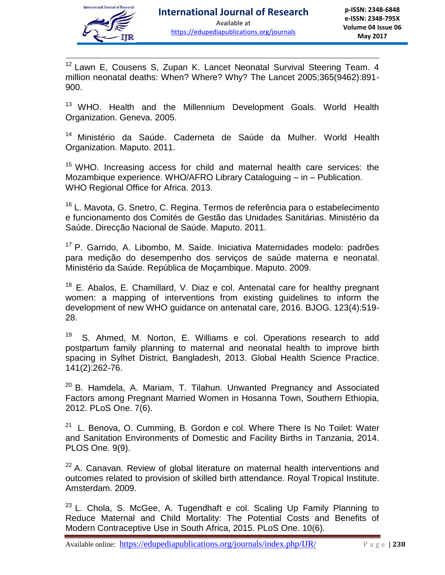

 $\overline{a}$ 

<sup>12</sup> Lawn E, Cousens S, Zupan K. Lancet Neonatal Survival Steering Team. 4 million neonatal deaths: When? Where? Why? The Lancet 2005;365(9462):891- 900.

<sup>13</sup> WHO. Health and the Millennium Development Goals. World Health Organization. Geneva. 2005.

<sup>14</sup> Ministério da Saúde. Caderneta de Saúde da Mulher. World Health Organization. Maputo. 2011.

<sup>15</sup> WHO. Increasing access for child and maternal health care services: the Mozambique experience. WHO/AFRO Library Cataloguing – in – Publication. WHO Regional Office for Africa. 2013.

<sup>16</sup> L. Mavota, G. Snetro, C. Regina. Termos de referência para o estabelecimento e funcionamento dos Comités de Gestão das Unidades Sanitárias. Ministério da Saúde. Direcção Nacional de Saúde. Maputo. 2011.

<sup>17</sup> P. Garrido, A. Libombo, M. Saíde. Iniciativa Maternidades modelo: padrões para medição do desempenho dos serviços de saúde materna e neonatal. Ministério da Saúde. República de Moçambique. Maputo. 2009.

 $18$  E. Abalos, E. Chamillard, V. Diaz e col. Antenatal care for healthy pregnant women: a mapping of interventions from existing guidelines to inform the development of new WHO guidance on antenatal care, 2016. BJOG. 123(4):519- 28.

19 S. Ahmed, M. Norton, E. Williams e col. Operations research to add postpartum family planning to maternal and neonatal health to improve birth spacing in Sylhet District, Bangladesh, 2013. Global Health Science Practice. 141(2):262-76.

<sup>20</sup> B. Hamdela, A. Mariam, T. Tilahun. Unwanted Pregnancy and Associated Factors among Pregnant Married Women in Hosanna Town, Southern Ethiopia, 2012. PLoS One. 7(6).

<sup>21</sup> L. Benova, O. Cumming, B. Gordon e col. Where There Is No Toilet: Water and Sanitation Environments of Domestic and Facility Births in Tanzania, 2014. PLOS One. 9(9).

 $22$  A. Canavan. Review of global literature on maternal health interventions and outcomes related to provision of skilled birth attendance. Royal Tropical Institute. Amsterdam. 2009.

<sup>23</sup> L. Chola, S. McGee, A. Tugendhaft e col. Scaling Up Family Planning to Reduce Maternal and Child Mortality: The Potential Costs and Benefits of Modern Contraceptive Use in South Africa, 2015. PLoS One. 10(6).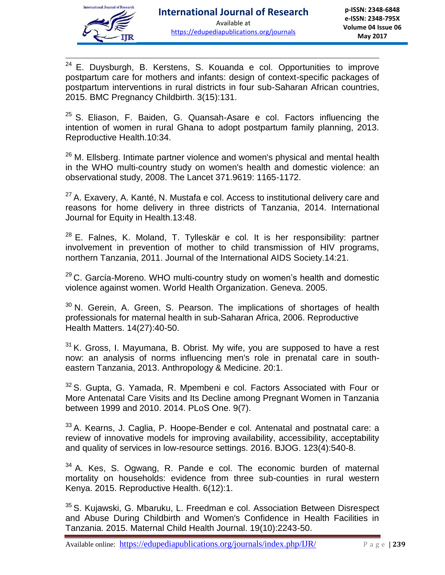

 $\overline{a}$  $24$  E. Duysburgh, B. Kerstens, S. Kouanda e col. Opportunities to improve postpartum care for mothers and infants: design of context-specific packages of postpartum interventions in rural districts in four sub-Saharan African countries, 2015. BMC Pregnancy Childbirth. 3(15):131.

 $25$  S. Eliason, F. Baiden, G. Quansah-Asare e col. Factors influencing the intention of women in rural Ghana to adopt postpartum family planning, 2013. Reproductive Health.10:34.

 $26$  M. Ellsberg. Intimate partner violence and women's physical and mental health in the WHO multi-country study on women's health and domestic violence: an observational study, 2008. The Lancet 371.9619: 1165-1172.

 $27$  A. Exavery, A. Kanté, N. Mustafa e col. Access to institutional delivery care and reasons for home delivery in three districts of Tanzania, 2014. International Journal for Equity in Health.13:48.

 $28$  E. Falnes, K. Moland, T. Tylleskär e col. It is her responsibility: partner involvement in prevention of mother to child transmission of HIV programs, northern Tanzania, 2011. Journal of the International AIDS Society.14:21.

 $29$  C. García-Moreno. WHO multi-country study on women's health and domestic violence against women. World Health Organization. Geneva. 2005.

 $30$  N. Gerein, A. Green, S. Pearson. The implications of shortages of health professionals for maternal health in sub-Saharan Africa, 2006. Reproductive Health Matters. 14(27):40-50.

 $31$  K. Gross, I. Mayumana, B. Obrist. My wife, you are supposed to have a rest now: an analysis of norms influencing men's role in prenatal care in southeastern Tanzania, 2013. Anthropology & Medicine. 20:1.

 $32$  S. Gupta, G. Yamada, R. Mpembeni e col. Factors Associated with Four or More Antenatal Care Visits and Its Decline among Pregnant Women in Tanzania between 1999 and 2010. 2014. PLoS One. 9(7).

33 A. Kearns, J. Caglia, P. Hoope-Bender e col. Antenatal and postnatal care: a review of innovative models for improving availability, accessibility, acceptability and quality of services in low-resource settings. 2016. BJOG. 123(4):540-8.

 $34$  A. Kes, S. Ogwang, R. Pande e col. The economic burden of maternal mortality on households: evidence from three sub-counties in rural western Kenya. 2015. Reproductive Health. 6(12):1.

<sup>35</sup> S. Kujawski, G. Mbaruku, L. Freedman e col. Association Between Disrespect and Abuse During Childbirth and Women's Confidence in Health Facilities in Tanzania. 2015. Maternal Child Health Journal. 19(10):2243-50.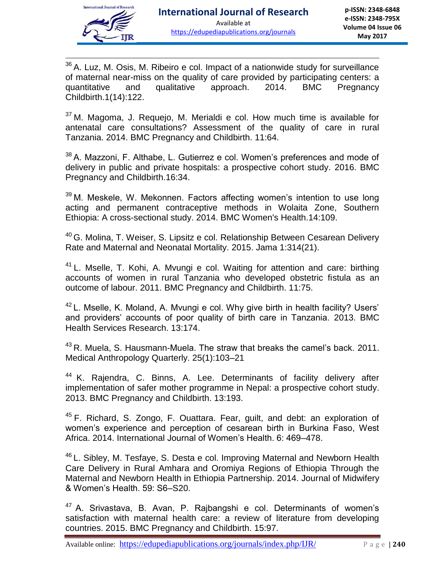

 $\overline{a}$ 36 A. Luz, M. Osis, M. Ribeiro e col. Impact of a nationwide study for surveillance of maternal near-miss on the quality of care provided by participating centers: a quantitative and qualitative approach. 2014. BMC Pregnancy Childbirth.1(14):122.

 $37$  M. Magoma, J. Requejo, M. Merialdi e col. How much time is available for antenatal care consultations? Assessment of the quality of care in rural Tanzania. 2014. BMC Pregnancy and Childbirth. 11:64.

38 A. Mazzoni, F. Althabe, L. Gutierrez e col. Women's preferences and mode of delivery in public and private hospitals: a prospective cohort study. 2016. BMC Pregnancy and Childbirth.16:34.

 $39$  M. Meskele, W. Mekonnen. Factors affecting women's intention to use long acting and permanent contraceptive methods in Wolaita Zone, Southern Ethiopia: A cross-sectional study. 2014. BMC Women's Health.14:109.

<sup>40</sup> G. Molina, T. Weiser, S. Lipsitz e col. Relationship Between Cesarean Delivery Rate and Maternal and Neonatal Mortality. 2015. Jama 1:314(21).

 $41$  L. Mselle, T. Kohi, A. Mvungi e col. Waiting for attention and care: birthing accounts of women in rural Tanzania who developed obstetric fistula as an outcome of labour. 2011. BMC Pregnancy and Childbirth. 11:75.

<sup>42</sup> L. Mselle, K. Moland, A. Mvungi e col. Why give birth in health facility? Users' and providers' accounts of poor quality of birth care in Tanzania. 2013. BMC Health Services Research. 13:174.

<sup>43</sup> R. Muela, S. Hausmann-Muela. The straw that breaks the camel's back. 2011. Medical Anthropology Quarterly. 25(1):103–21

<sup>44</sup> K. Rajendra, C. Binns, A. Lee. Determinants of facility delivery after implementation of safer mother programme in Nepal: a prospective cohort study. 2013. BMC Pregnancy and Childbirth. 13:193.

<sup>45</sup> F. Richard, S. Zongo, F. Ouattara. Fear, guilt, and debt: an exploration of women's experience and perception of cesarean birth in Burkina Faso, West Africa. 2014. International Journal of Women's Health. 6: 469–478.

<sup>46</sup> L. Sibley, M. Tesfaye, S. Desta e col. Improving Maternal and Newborn Health Care Delivery in Rural Amhara and Oromiya Regions of Ethiopia Through the Maternal and Newborn Health in Ethiopia Partnership. 2014. Journal of Midwifery & Women's Health. 59: S6–S20.

 $47$  A. Srivastava, B. Avan, P. Rajbangshi e col. Determinants of women's satisfaction with maternal health care: a review of literature from developing countries. 2015. BMC Pregnancy and Childbirth. 15:97.